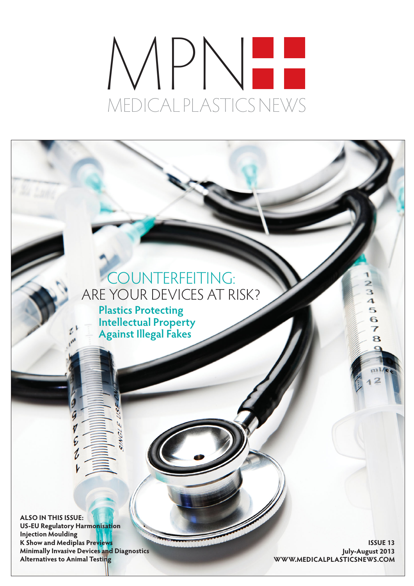# MPN MEDICAL PLASTICS NEWS

### COUNTERFEITING: ARE YOUR DEVICES AT RISK?

**Plastics Protecting Intellectual Property Against Illegal Fakes**

**ALSO IN THIS ISSUE: US-EU Regulatory Harmonisation Injection Moulding K Show and Mediplas Previews Minimally Invasive Devices and Diagnostics Alternatives to Animal Testing**

**ISSUE 13 July-August 2013 WWW.MEDICALPLASTICSNEWS.COM**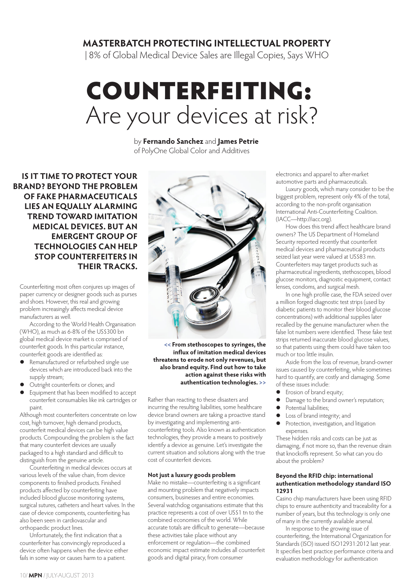#### **MASTERBATCH PROTECTING INTELLECTUAL PROPERTY**

| 8% of Global Medical Device Sales are Illegal Copies, Says WHO

## COUNTERFEITING: Are your devices at risk?

by **Fernando Sanchez** and **James Petrie** of PolyOne Global Color and Additives

**IS IT TIME TO PROTECT YOUR BRAND? BEYOND THE PROBLEM OF FAKE PHARMACEUTICALS LIES AN EQUALLY ALARMING TREND TOWARD IMITATION MEDICAL DEVICES. BUT AN EMERGENT GROUP OF TECHNOLOGIES CAN HELP STOP COUNTERFEITERS IN THEIR TRACKS.**

Counterfeiting most often conjures up images of paper currency or designer goods such as purses and shoes. However, this real and growing problem increasingly affects medical device manufacturers as well.

According to the World Health Organisation (WHO), as much as 6-8% of the US\$300 bn global medical device market is comprised of counterfeit goods. In this particular instance, counterfeit goods are identified as:

- Remanufactured or refurbished single use devices which are introduced back into the supply stream;
- Outright counterfeits or clones; and
- Equipment that has been modified to accept counterfeit consumables like ink cartridges or paint.

Although most counterfeiters concentrate on low cost, high turnover, high demand products, counterfeit medical devices can be high value products. Compounding the problem is the fact that many counterfeit devices are usually packaged to a high standard and difficult to distinguish from the genuine article.

Counterfeiting in medical devices occurs at various levels of the value chain, from device components to finished products. Finished products affected by counterfeiting have included blood glucose monitoring systems, surgical sutures, catheters and heart valves. In the case of device components, counterfeiting has also been seen in cardiovascular and orthopaedic product lines.

Unfortunately, the first indication that a counterfeiter has convincingly reproduced a device often happens when the device either fails in some way or causes harm to a patient.



**<< From stethoscopes to syringes, the influx of imitation medical devices threatens to erode not only revenues, but also brand equity. Find out how to take action against these risks with authentication technologies. >>**

Rather than reacting to these disasters and incurring the resulting liabilities, some healthcare device brand owners are taking a proactive stand by investigating and implementing anticounterfeiting tools. Also known as authentication technologies, they provide a means to positively identify a device as genuine. Let's investigate the current situation and solutions along with the true cost of counterfeit devices.

#### **Not just a luxury goods problem**

Make no mistake—counterfeiting is a significant and mounting problem that negatively impacts consumers, businesses and entire economies. Several watchdog organisations estimate that this practice represents a cost of over US\$1 tn to the combined economies of the world. While accurate totals are difficult to generate—because these activities take place without any enforcement or regulation—the combined economic impact estimate includes all counterfeit goods and digital piracy, from consumer

electronics and apparel to after-market automotive parts and pharmaceuticals.

Luxury goods, which many consider to be the biggest problem, represent only 4% of the total, according to the non-profit organisation International Anti-Counterfeiting Coalition. (IACC—http://iacc.org).

How does this trend affect healthcare brand owners? The US Department of Homeland Security reported recently that counterfeit medical devices and pharmaceutical products seized last year were valued at US\$83 mn. Counterfeiters may target products such as pharmaceutical ingredients, stethoscopes, blood glucose monitors, diagnostic equipment, contact lenses, condoms, and surgical mesh.

In one high profile case, the FDA seized over a million forged diagnostic test strips (used by diabetic patients to monitor their blood glucose concentrations) with additional supplies later recalled by the genuine manufacturer when the false lot numbers were identified. These fake test strips returned inaccurate blood glucose values, so that patients using them could have taken too much or too little insulin.

Aside from the loss of revenue, brand-owner issues caused by counterfeiting, while sometimes hard to quantify, are costly and damaging. Some of these issues include:

- **•** Erosion of brand equity;
- Damage to the brand owner's reputation;
- Potential liabilities;
- Loss of brand integrity; and<br>• Protection investigation and
- Protection, investigation, and litigation expenses.

These hidden risks and costs can be just as damaging, if not more so, than the revenue drain that knockoffs represent. So what can you do about the problem?

#### **Beyond the RFID chip: international authentication methodology standard ISO 12931**

Casino chip manufacturers have been using RFID chips to ensure authenticity and traceability for a number of years, but this technology is only one of many in the currently available arsenal.

In response to the growing issue of counterfeiting, the International Organization for Standards (ISO) issued ISO12931:2012 last year. It specifies best practice performance criteria and evaluation methodology for authentication